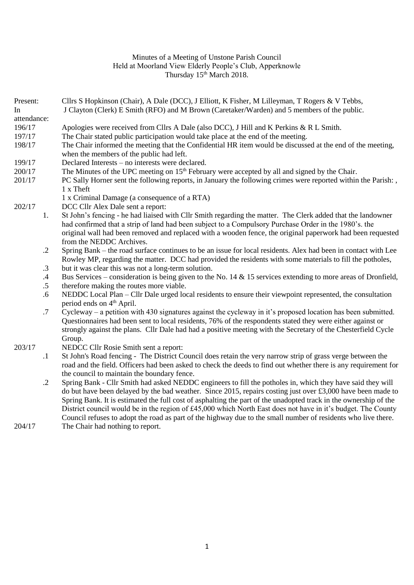## Minutes of a Meeting of Unstone Parish Council Held at Moorland View Elderly People's Club, Apperknowle Thursday 15<sup>th</sup> March 2018.

Present: Cllrs S Hopkinson (Chair), A Dale (DCC), J Elliott, K Fisher, M Lilleyman, T Rogers & V Tebbs,

| In          |            | J Clayton (Clerk) E Smith (RFO) and M Brown (Caretaker/Warden) and 5 members of the public.                                |
|-------------|------------|----------------------------------------------------------------------------------------------------------------------------|
| attendance: |            |                                                                                                                            |
| 196/17      |            | Apologies were received from Cllrs A Dale (also DCC), J Hill and K Perkins & R L Smith.                                    |
| 197/17      |            | The Chair stated public participation would take place at the end of the meeting.                                          |
| 198/17      |            | The Chair informed the meeting that the Confidential HR item would be discussed at the end of the meeting,                 |
|             |            | when the members of the public had left.                                                                                   |
| 199/17      |            | Declared Interests - no interests were declared.                                                                           |
| 200/17      |            | The Minutes of the UPC meeting on 15 <sup>th</sup> February were accepted by all and signed by the Chair.                  |
| 201/17      |            | PC Sally Horner sent the following reports, in January the following crimes were reported within the Parish:,<br>1 x Theft |
|             |            | 1 x Criminal Damage (a consequence of a RTA)                                                                               |
| 202/17      |            | DCC Cllr Alex Dale sent a report:                                                                                          |
|             | 1.         | St John's fencing - he had liaised with Cllr Smith regarding the matter. The Clerk added that the landowner                |
|             |            | had confirmed that a strip of land had been subject to a Compulsory Purchase Order in the 1980's. the                      |
|             |            | original wall had been removed and replaced with a wooden fence, the original paperwork had been requested                 |
|             |            | from the NEDDC Archives.                                                                                                   |
|             | $\cdot$ .2 | Spring Bank – the road surface continues to be an issue for local residents. Alex had been in contact with Lee             |
|             |            | Rowley MP, regarding the matter. DCC had provided the residents with some materials to fill the potholes,                  |
|             | $\cdot$ 3  | but it was clear this was not a long-term solution.                                                                        |
|             | $\cdot$ 4  | Bus Services – consideration is being given to the No. 14 $\&$ 15 services extending to more areas of Dronfield,           |
|             | $.5\,$     | therefore making the routes more viable.                                                                                   |
|             | .6         | NEDDC Local Plan – Cllr Dale urged local residents to ensure their viewpoint represented, the consultation                 |
|             |            | period ends on 4 <sup>th</sup> April.                                                                                      |
|             | .7         | Cycleway – a petition with 430 signatures against the cycleway in it's proposed location has been submitted.               |
|             |            | Questionnaires had been sent to local residents, 76% of the respondents stated they were either against or                 |
|             |            | strongly against the plans. Cllr Dale had had a positive meeting with the Secretary of the Chesterfield Cycle              |
|             |            | Group.                                                                                                                     |
| 203/17      |            | NEDCC Cllr Rosie Smith sent a report:                                                                                      |
|             | $\cdot$ 1  | St John's Road fencing - The District Council does retain the very narrow strip of grass verge between the                 |
|             |            | road and the field. Officers had been asked to check the deeds to find out whether there is any requirement for            |
|             |            | the council to maintain the boundary fence.                                                                                |
|             | $\cdot$ .2 | Spring Bank - Cllr Smith had asked NEDDC engineers to fill the potholes in, which they have said they will                 |
|             |            | do but have been delayed by the bad weather. Since 2015, repairs costing just over £3,000 have been made to                |
|             |            | Spring Bank. It is estimated the full cost of asphalting the part of the unadopted track in the ownership of the           |
|             |            | District council would be in the region of £45,000 which North East does not have in it's budget. The County               |
|             |            | Council refuses to adopt the road as part of the highway due to the small number of residents who live there.              |

204/17 The Chair had nothing to report.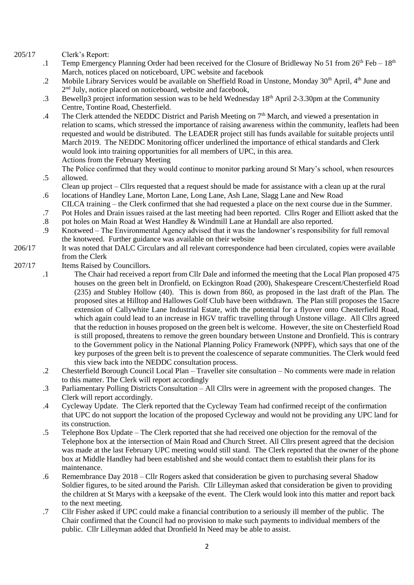205/17 Clerk's Report:

.6

- .1 Temp Emergency Planning Order had been received for the Closure of Bridleway No 51 from  $26<sup>th</sup>$  Feb –  $18<sup>th</sup>$ March, notices placed on noticeboard, UPC website and facebook
- .2 Mobile Library Services would be available on Sheffield Road in Unstone, Monday 30<sup>th</sup> April, 4<sup>th</sup> June and 2<sup>nd</sup> July, notice placed on noticeboard, website and facebook,
- .3 Bewellp3 project information session was to be held Wednesday  $18<sup>th</sup>$  April 2-3.30pm at the Community Centre, Tontine Road, Chesterfield.
- .4 The Clerk attended the NEDDC District and Parish Meeting on  $7<sup>th</sup>$  March, and viewed a presentation in relation to scams, which stressed the importance of raising awareness within the community, leaflets had been requested and would be distributed. The LEADER project still has funds available for suitable projects until March 2019. The NEDDC Monitoring officer underlined the importance of ethical standards and Clerk would look into training opportunities for all members of UPC, in this area. Actions from the February Meeting
- .5 The Police confirmed that they would continue to monitor parking around St Mary's school, when resources allowed.
	- Clean up project Cllrs requested that a request should be made for assistance with a clean up at the rural locations of Handley Lane, Morton Lane, Long Lane, Ash Lane, Slagg Lane and New Road
- CILCA training the Clerk confirmed that she had requested a place on the next course due in the Summer.
- .7 Pot Holes and Drain issues raised at the last meeting had been reported. Cllrs Roger and Elliott asked that the
- .8 pot holes on Main Road at West Handley & Windmill Lane at Hundall are also reported.
- .9 Knotweed – The Environmental Agency advised that it was the landowner's responsibility for full removal the knotweed. Further guidance was available on their website
- 206/17 It was noted that DALC Circulars and all relevant correspondence had been circulated, copies were available from the Clerk
- 207/17 Items Raised by Councillors.
	- .1 The Chair had received a report from Cllr Dale and informed the meeting that the Local Plan proposed 475 houses on the green belt in Dronfield, on Eckington Road (200), Shakespeare Crescent/Chesterfield Road (235) and Stubley Hollow (40). This is down from 860, as proposed in the last draft of the Plan. The proposed sites at Hilltop and Hallowes Golf Club have been withdrawn. The Plan still proposes the 15acre extension of Callywhite Lane Industrial Estate, with the potential for a flyover onto Chesterfield Road, which again could lead to an increase in HGV traffic travelling through Unstone village. All Cllrs agreed that the reduction in houses proposed on the green belt is welcome. However, the site on Chesterfield Road is still proposed, threatens to remove the green boundary between Unstone and Dronfield. This is contrary to the Government policy in the National Planning Policy Framework (NPPF), which says that one of the key purposes of the green belt is to prevent the coalescence of separate communities. The Clerk would feed this view back into the NEDDC consultation process.
	- .2 Chesterfield Borough Council Local Plan Traveller site consultation No comments were made in relation to this matter. The Clerk will report accordingly
	- .3 Parliamentary Polling Districts Consultation All Cllrs were in agreement with the proposed changes. The Clerk will report accordingly.
	- .4 Cycleway Update. The Clerk reported that the Cycleway Team had confirmed receipt of the confirmation that UPC do not support the location of the proposed Cycleway and would not be providing any UPC land for its construction.
	- .5 Telephone Box Update The Clerk reported that she had received one objection for the removal of the Telephone box at the intersection of Main Road and Church Street. All Cllrs present agreed that the decision was made at the last February UPC meeting would still stand. The Clerk reported that the owner of the phone box at Middle Handley had been established and she would contact them to establish their plans for its maintenance.
	- .6 Remembrance Day 2018 Cllr Rogers asked that consideration be given to purchasing several Shadow Soldier figures, to be sited around the Parish. Cllr Lilleyman asked that consideration be given to providing the children at St Marys with a keepsake of the event. The Clerk would look into this matter and report back to the next meeting.
	- .7 Cllr Fisher asked if UPC could make a financial contribution to a seriously ill member of the public. The Chair confirmed that the Council had no provision to make such payments to individual members of the public. Cllr Lilleyman added that Dronfield In Need may be able to assist.